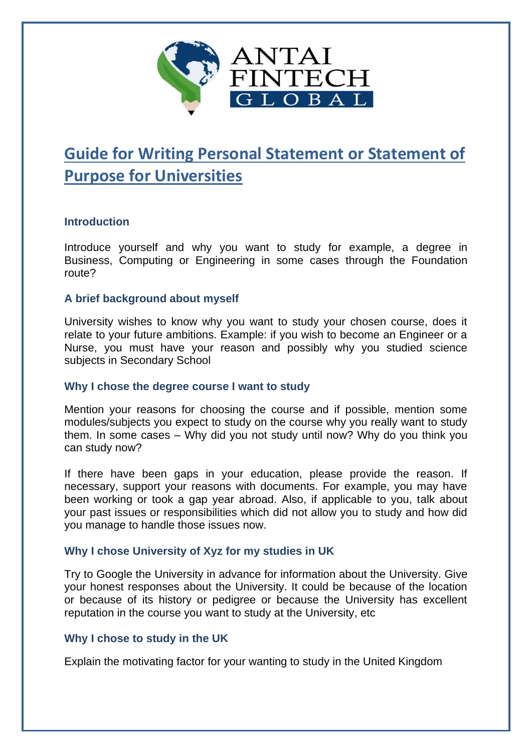

# **Guide for Writing Personal Statement or Statement of Purpose for Universities**

# **Introduction**

Introduce yourself and why you want to study for example, a degree in Business, Computing or Engineering in some cases through the Foundation route?

### **A brief background about myself**

University wishes to know why you want to study your chosen course, does it relate to your future ambitions. Example: if you wish to become an Engineer or a Nurse, you must have your reason and possibly why you studied science subjects in Secondary School

#### **Why I chose the degree course I want to study**

Mention your reasons for choosing the course and if possible, mention some modules/subjects you expect to study on the course why you really want to study them. In some cases – Why did you not study until now? Why do you think you can study now?

If there have been gaps in your education, please provide the reason. If necessary, support your reasons with documents. For example, you may have been working or took a gap year abroad. Also, if applicable to you, talk about your past issues or responsibilities which did not allow you to study and how did you manage to handle those issues now.

# **Why I chose University of Xyz for my studies in UK**

Try to Google the University in advance for information about the University. Give your honest responses about the University. It could be because of the location or because of its history or pedigree or because the University has excellent reputation in the course you want to study at the University, etc

#### **Why I chose to study in the UK**

Explain the motivating factor for your wanting to study in the United Kingdom